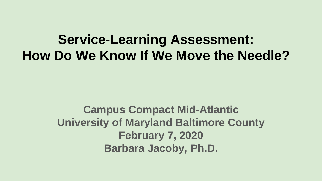**Service-Learning Assessment: How Do We Know If We Move the Needle?**

> **Campus Compact Mid-Atlantic University of Maryland Baltimore County February 7, 2020 Barbara Jacoby, Ph.D.**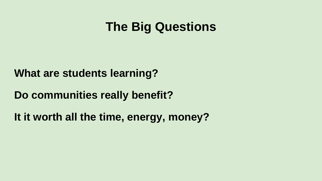## **The Big Questions**

**What are students learning?**

**Do communities really benefit?**

**It it worth all the time, energy, money?**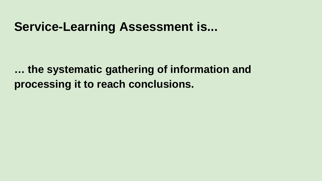#### **Service-Learning Assessment is...**

**… the systematic gathering of information and processing it to reach conclusions.**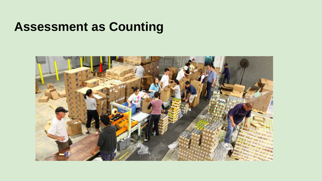## **Assessment as Counting**

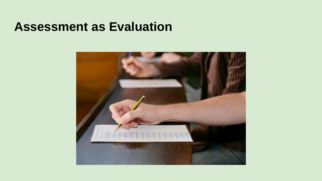#### **Assessment as Evaluation**

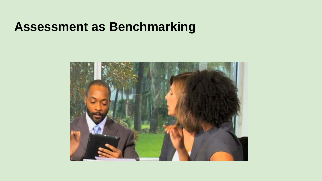### **Assessment as Benchmarking**

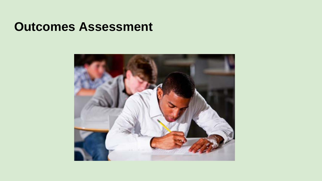#### **Outcomes Assessment**

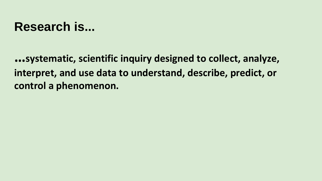## **Research is...**

**…systematic, scientific inquiry designed to collect, analyze, interpret, and use data to understand, describe, predict, or control a phenomenon.**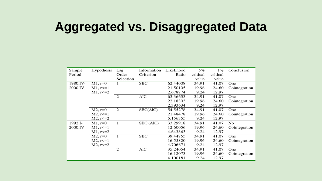## **Aggregated vs. Disaggregated Data**

| Sample   | Hypothesis     | Lag            | Information | Likelihood | 5%       | $1\%$    | Conclusion    |
|----------|----------------|----------------|-------------|------------|----------|----------|---------------|
| Period   |                | Order          | Criterion   | Ratio      | critical | critical |               |
|          |                | Selection      |             |            | value    | value    |               |
| 1980.IV- | $M1, r=0$      |                | <b>SBC</b>  | 62.44008   | 34.91    | 41.07    | One           |
| 2000.IV  | $M1, r \le 1$  |                |             | 21.50105   | 19.96    | 24.60    | Cointegration |
|          | M1, r<=2       |                |             | 2.678774   | 9.24     | 12.97    |               |
|          |                | $\overline{2}$ | AIC         | 63.36653   | 34.91    | 41.07    | One           |
|          |                |                |             | 22.18303   | 19.96    | 24.60    | Cointegration |
|          |                |                |             | 2.393634   | 9.24     | 12.97    |               |
|          | $M2, r=0$      | 2              | SBC(AIC)    | 54.55278   | 34.91    | 41.07    | One           |
|          | $M2, r \leq 1$ |                |             | 21.48478   | 19.96    | 24.60    | Cointegration |
|          | $M2, r \leq 2$ |                |             | 5.156355   | 9.24     | 12.97    |               |
| 1992.I-  | $M1, r=0$      | 1              | SBC (AIC)   | 33.29918   | 34.91    | 41.07    | No            |
| 2000.IV  | $M1, r \le 1$  |                |             | 12.60056   | 19.96    | 24.60    | Cointegration |
|          | $M1, r \le 2$  |                |             | 4.643863   | 9.24     | 12.97    |               |
|          | $M2, r=0$      | 1              | SBC         | 39.44755   | 34.91    | 41.07    | One           |
|          | $M2, r \leq 1$ |                |             | 16.55820   | 19.96    | 24.60    | Cointegration |
|          | $M2, r \le 2$  |                |             | 4.706671   | 9.24     | 12.97    |               |
|          |                | $\overline{c}$ | AIC         | 35.24054   | 34.91    | 41.07    | One           |
|          |                |                |             | 16.12073   | 19.96    | 24.60    | Cointegration |
|          |                |                |             | 4.100181   | 9.24     | 12.97    |               |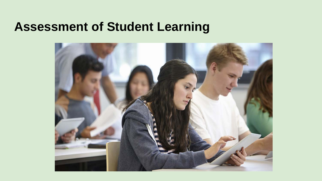#### **Assessment of Student Learning**

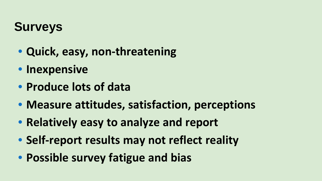## **Surveys**

- **Quick, easy, non-threatening**
- **Inexpensive**
- **Produce lots of data**
- **Measure attitudes, satisfaction, perceptions**
- **Relatively easy to analyze and report**
- **Self-report results may not reflect reality**
- **Possible survey fatigue and bias**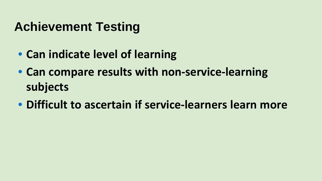## **Achievement Testing**

- **Can indicate level of learning**
- **Can compare results with non-service-learning subjects**
- **Difficult to ascertain if service-learners learn more**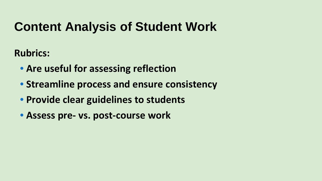## **Content Analysis of Student Work**

**Rubrics:**

- **Are useful for assessing reflection**
- **Streamline process and ensure consistency**
- **Provide clear guidelines to students**
- **Assess pre- vs. post-course work**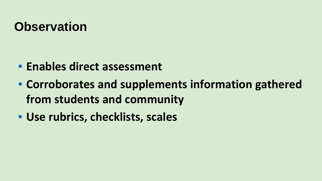## **Observation**

- **Enables direct assessment**
- **Corroborates and supplements information gathered from students and community**
- **Use rubrics, checklists, scales**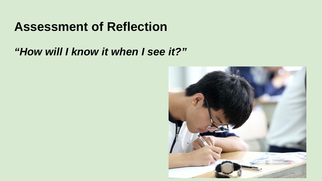#### **Assessment of Reflection**

#### *"How will I know it when I see it?"*

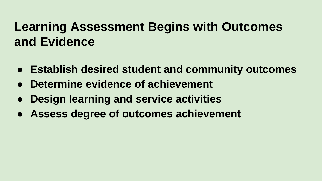## **Learning Assessment Begins with Outcomes and Evidence**

- **Establish desired student and community outcomes**
- **Determine evidence of achievement**
- **Design learning and service activities**
- **Assess degree of outcomes achievement**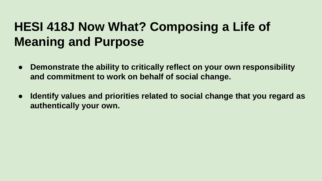## **HESI 418J Now What? Composing a Life of Meaning and Purpose**

- **Demonstrate the ability to critically reflect on your own responsibility and commitment to work on behalf of social change.**
- **Identify values and priorities related to social change that you regard as authentically your own.**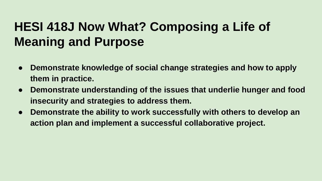## **HESI 418J Now What? Composing a Life of Meaning and Purpose**

- **Demonstrate knowledge of social change strategies and how to apply them in practice.**
- **Demonstrate understanding of the issues that underlie hunger and food insecurity and strategies to address them.**
- **Demonstrate the ability to work successfully with others to develop an action plan and implement a successful collaborative project.**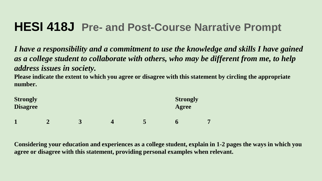#### **HESI 418J Pre- and Post-Course Narrative Prompt**

*I have a responsibility and a commitment to use the knowledge and skills I have gained as a college student to collaborate with others, who may be different from me, to help address issues in society.*

**Please indicate the extent to which you agree or disagree with this statement by circling the appropriate number.**

| <b>Strongly</b><br><b>Disagree</b> | <b>Strongly</b><br>Agree |   |  |   |   |
|------------------------------------|--------------------------|---|--|---|---|
|                                    | σ                        | 3 |  | O | - |

**Considering your education and experiences as a college student, explain in 1-2 pages the ways in which you agree or disagree with this statement, providing personal examples when relevant.**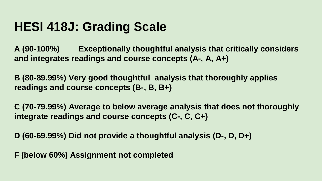## **HESI 418J: Grading Scale**

**A (90-100%) Exceptionally thoughtful analysis that critically considers and integrates readings and course concepts (A-, A, A+)**

**B (80-89.99%) Very good thoughtful analysis that thoroughly applies readings and course concepts (B-, B, B+)**

**C (70-79.99%) Average to below average analysis that does not thoroughly integrate readings and course concepts (C-, C, C+)**

**D (60-69.99%) Did not provide a thoughtful analysis (D-, D, D+)**

**F (below 60%) Assignment not completed**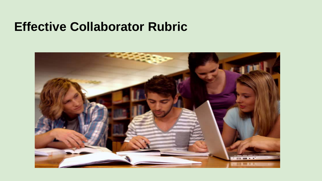#### **Effective Collaborator Rubric**

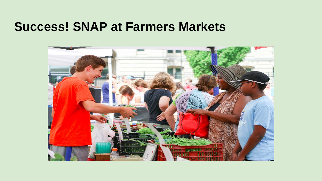#### **Success! SNAP at Farmers Markets**

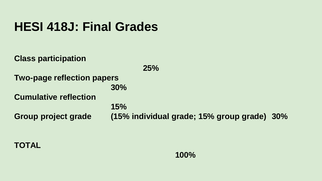## **HESI 418J: Final Grades**

**Class participation 25% Two-page reflection papers 30% Cumulative reflection 15% Group project grade (15% individual grade; 15% group grade) 30%**

#### **TOTAL**

**100%**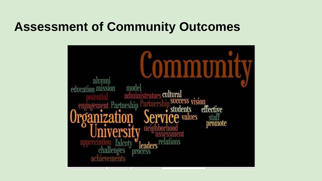## **Assessment of Community Outcomes**

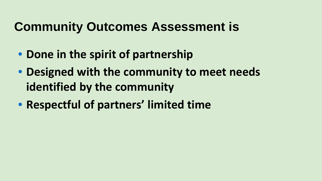## **Community Outcomes Assessment is**

- **Done in the spirit of partnership**
- **Designed with the community to meet needs identified by the community**
- **Respectful of partners' limited time**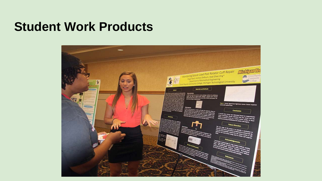#### **Student Work Products**

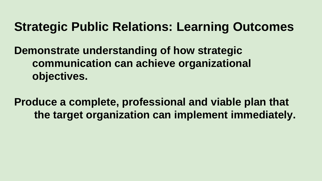## **Strategic Public Relations: Learning Outcomes**

**Demonstrate understanding of how strategic communication can achieve organizational objectives.**

**Produce a complete, professional and viable plan that the target organization can implement immediately.**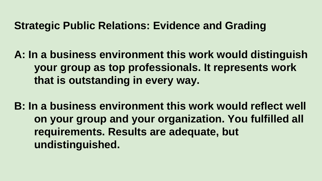#### **Strategic Public Relations: Evidence and Grading**

**A: In a business environment this work would distinguish your group as top professionals. It represents work that is outstanding in every way.**

**B: In a business environment this work would reflect well on your group and your organization. You fulfilled all requirements. Results are adequate, but undistinguished.**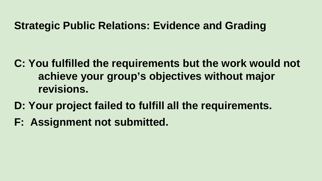#### **Strategic Public Relations: Evidence and Grading**

- **C: You fulfilled the requirements but the work would not achieve your group's objectives without major revisions.**
- **D: Your project failed to fulfill all the requirements.**
- **F: Assignment not submitted.**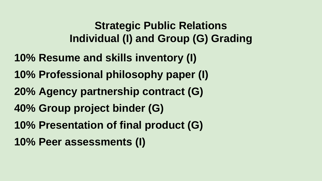#### **Strategic Public Relations Individual (I) and Group (G) Grading**

- **10% Resume and skills inventory (I)**
- **10% Professional philosophy paper (I)**
- **20% Agency partnership contract (G)**
- **40% Group project binder (G)**
- **10% Presentation of final product (G)**
- **10% Peer assessments (I)**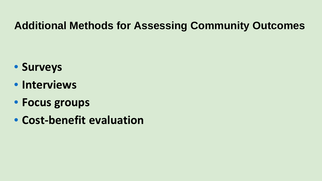#### **Additional Methods for Assessing Community Outcomes**

- **Surveys**
- **Interviews**
- **Focus groups**
- **Cost-benefit evaluation**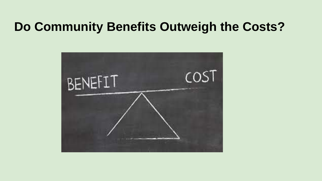### **Do Community Benefits Outweigh the Costs?**

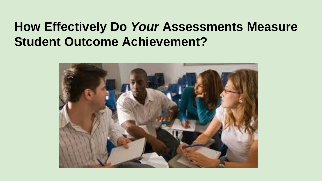## **How Effectively Do** *Your* **Assessments Measure Student Outcome Achievement?**

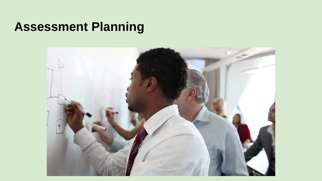### **Assessment Planning**

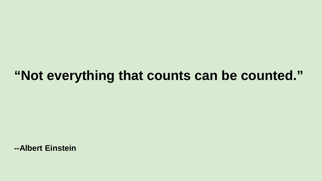## **"Not everything that counts can be counted."**

**--Albert Einstein**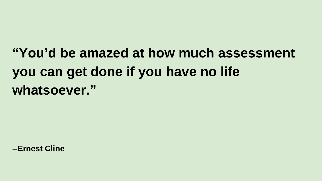## **"You'd be amazed at how much assessment you can get done if you have no life whatsoever."**

**--Ernest Cline**